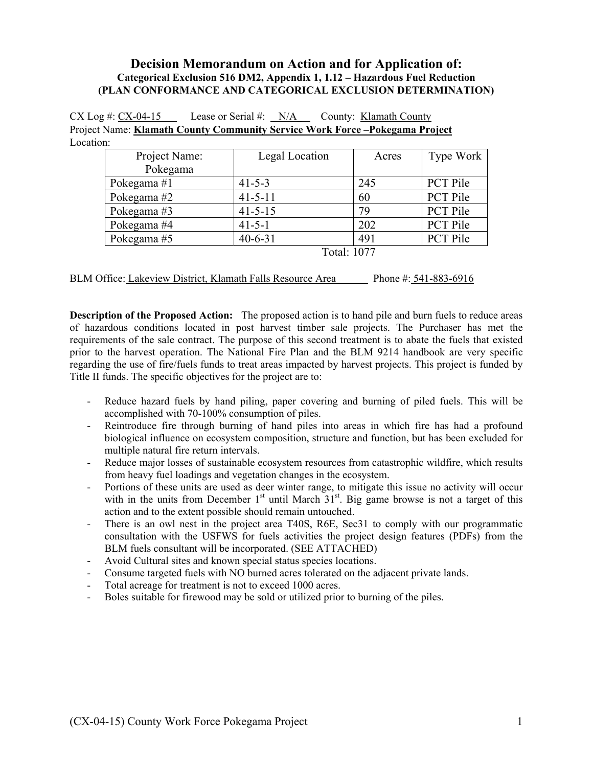### **Decision Memorandum on Action and for Application of: Categorical Exclusion 516 DM2, Appendix 1, 1.12 – Hazardous Fuel Reduction (PLAN CONFORMANCE AND CATEGORICAL EXCLUSION DETERMINATION)**

| $CX Log #: CX-04-15$ |  |  | Lease or Serial #: $N/A$ County: Klamath County                                   |
|----------------------|--|--|-----------------------------------------------------------------------------------|
|                      |  |  | <b>Project Name: Klamath County Community Service Work Force-Pokegama Project</b> |
| Location:            |  |  |                                                                                   |

| Project Name: | Legal Location | Acres | Type Work       |
|---------------|----------------|-------|-----------------|
| Pokegama      |                |       |                 |
| Pokegama #1   | $41 - 5 - 3$   | 245   | <b>PCT Pile</b> |
| Pokegama #2   | $41 - 5 - 11$  | 60    | PCT Pile        |
| Pokegama #3   | $41 - 5 - 15$  | 79    | <b>PCT Pile</b> |
| Pokegama #4   | $41 - 5 - 1$   | 202   | <b>PCT Pile</b> |
| Pokegama #5   | $40 - 6 - 31$  | 491   | <b>PCT Pile</b> |
| Total: 1077   |                |       |                 |

BLM Office: Lakeview District, Klamath Falls Resource Area Phone #: 541-883-6916

**Description of the Proposed Action:** The proposed action is to hand pile and burn fuels to reduce areas of hazardous conditions located in post harvest timber sale projects. The Purchaser has met the requirements of the sale contract. The purpose of this second treatment is to abate the fuels that existed prior to the harvest operation. The National Fire Plan and the BLM 9214 handbook are very specific regarding the use of fire/fuels funds to treat areas impacted by harvest projects. This project is funded by Title II funds. The specific objectives for the project are to:

- Reduce hazard fuels by hand piling, paper covering and burning of piled fuels. This will be accomplished with 70-100% consumption of piles.
- Reintroduce fire through burning of hand piles into areas in which fire has had a profound biological influence on ecosystem composition, structure and function, but has been excluded for multiple natural fire return intervals.
- Reduce major losses of sustainable ecosystem resources from catastrophic wildfire, which results from heavy fuel loadings and vegetation changes in the ecosystem.
- Portions of these units are used as deer winter range, to mitigate this issue no activity will occur with in the units from December  $1<sup>st</sup>$  until March  $31<sup>st</sup>$ . Big game browse is not a target of this action and to the extent possible should remain untouched.
- There is an owl nest in the project area T40S, R6E, Sec31 to comply with our programmatic consultation with the USFWS for fuels activities the project design features (PDFs) from the BLM fuels consultant will be incorporated. (SEE ATTACHED)
- Avoid Cultural sites and known special status species locations.
- Consume targeted fuels with NO burned acres tolerated on the adjacent private lands.
- Total acreage for treatment is not to exceed 1000 acres.
- Boles suitable for firewood may be sold or utilized prior to burning of the piles.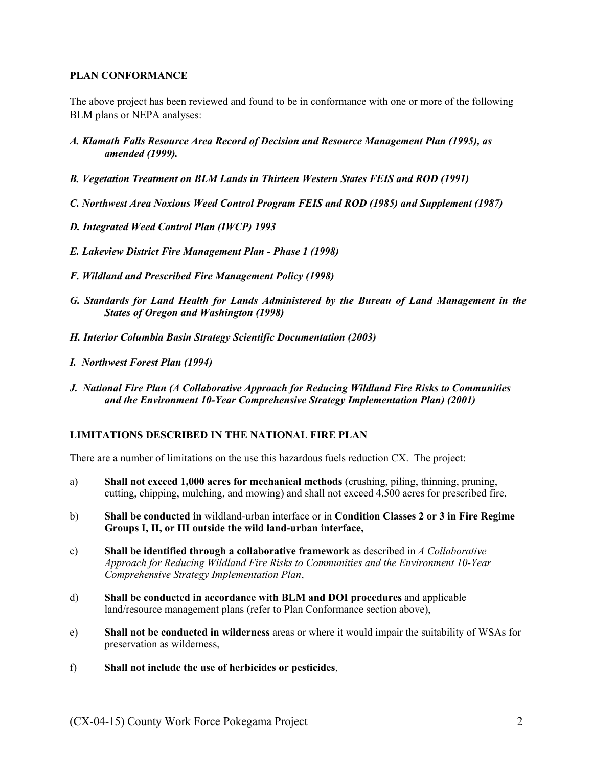#### **PLAN CONFORMANCE**

The above project has been reviewed and found to be in conformance with one or more of the following BLM plans or NEPA analyses:

- *A. Klamath Falls Resource Area Record of Decision and Resource Management Plan (1995), as amended (1999).*
- *B. Vegetation Treatment on BLM Lands in Thirteen Western States FEIS and ROD (1991)*
- *C. Northwest Area Noxious Weed Control Program FEIS and ROD (1985) and Supplement (1987)*
- *D. Integrated Weed Control Plan (IWCP) 1993*
- *E. Lakeview District Fire Management Plan Phase 1 (1998)*
- *F. Wildland and Prescribed Fire Management Policy (1998)*
- *G. Standards for Land Health for Lands Administered by the Bureau of Land Management in the States of Oregon and Washington (1998)*
- *H. Interior Columbia Basin Strategy Scientific Documentation (2003)*
- *I. Northwest Forest Plan (1994)*
- *J. National Fire Plan (A Collaborative Approach for Reducing Wildland Fire Risks to Communities and the Environment 10-Year Comprehensive Strategy Implementation Plan) (2001)*

### **LIMITATIONS DESCRIBED IN THE NATIONAL FIRE PLAN**

There are a number of limitations on the use this hazardous fuels reduction CX. The project:

- a) **Shall not exceed 1,000 acres for mechanical methods** (crushing, piling, thinning, pruning, cutting, chipping, mulching, and mowing) and shall not exceed 4,500 acres for prescribed fire,
- b) **Shall be conducted in** wildland-urban interface or in **Condition Classes 2 or 3 in Fire Regime Groups I, II, or III outside the wild land-urban interface,**
- c) **Shall be identified through a collaborative framework** as described in *A Collaborative Approach for Reducing Wildland Fire Risks to Communities and the Environment 10-Year Comprehensive Strategy Implementation Plan*,
- d) **Shall be conducted in accordance with BLM and DOI procedures** and applicable land/resource management plans (refer to Plan Conformance section above),
- e) **Shall not be conducted in wilderness** areas or where it would impair the suitability of WSAs for preservation as wilderness,
- f) **Shall not include the use of herbicides or pesticides**,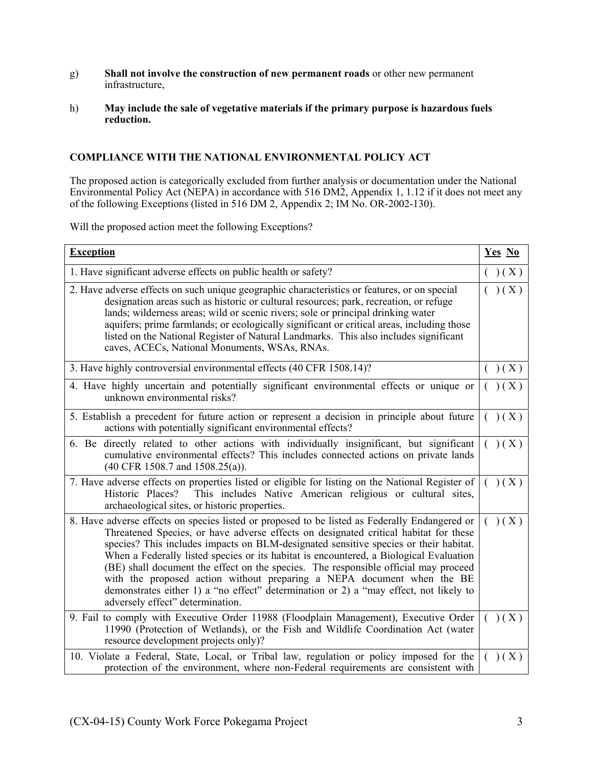- g) **Shall not involve the construction of new permanent roads** or other new permanent infrastructure,
- h) **May include the sale of vegetative materials if the primary purpose is hazardous fuels reduction.**

#### **COMPLIANCE WITH THE NATIONAL ENVIRONMENTAL POLICY ACT**

The proposed action is categorically excluded from further analysis or documentation under the National Environmental Policy Act (NEPA) in accordance with 516 DM2, Appendix 1, 1.12 if it does not meet any of the following Exceptions (listed in 516 DM 2, Appendix 2; IM No. OR-2002-130).

Will the proposed action meet the following Exceptions?

| <b>Exception</b>                                                                                                                                                                                                                                                                                                                                                                                                                                                                                                                                                                                                                                                      | Yes No    |
|-----------------------------------------------------------------------------------------------------------------------------------------------------------------------------------------------------------------------------------------------------------------------------------------------------------------------------------------------------------------------------------------------------------------------------------------------------------------------------------------------------------------------------------------------------------------------------------------------------------------------------------------------------------------------|-----------|
| 1. Have significant adverse effects on public health or safety?                                                                                                                                                                                                                                                                                                                                                                                                                                                                                                                                                                                                       | ( ) ( X ) |
| 2. Have adverse effects on such unique geographic characteristics or features, or on special<br>designation areas such as historic or cultural resources; park, recreation, or refuge<br>lands; wilderness areas; wild or scenic rivers; sole or principal drinking water<br>aquifers; prime farmlands; or ecologically significant or critical areas, including those<br>listed on the National Register of Natural Landmarks. This also includes significant<br>caves, ACECs, National Monuments, WSAs, RNAs.                                                                                                                                                       | ( ) ( X ) |
| 3. Have highly controversial environmental effects (40 CFR 1508.14)?                                                                                                                                                                                                                                                                                                                                                                                                                                                                                                                                                                                                  | ( ) ( X ) |
| 4. Have highly uncertain and potentially significant environmental effects or unique or<br>unknown environmental risks?                                                                                                                                                                                                                                                                                                                                                                                                                                                                                                                                               | (x)       |
| 5. Establish a precedent for future action or represent a decision in principle about future<br>actions with potentially significant environmental effects?                                                                                                                                                                                                                                                                                                                                                                                                                                                                                                           | (x)       |
| 6. Be directly related to other actions with individually insignificant, but significant<br>cumulative environmental effects? This includes connected actions on private lands<br>(40 CFR 1508.7 and 1508.25(a)).                                                                                                                                                                                                                                                                                                                                                                                                                                                     | ( ) ( X ) |
| 7. Have adverse effects on properties listed or eligible for listing on the National Register of<br>This includes Native American religious or cultural sites,<br>Historic Places?<br>archaeological sites, or historic properties.                                                                                                                                                                                                                                                                                                                                                                                                                                   | ( ) ( X ) |
| 8. Have adverse effects on species listed or proposed to be listed as Federally Endangered or<br>Threatened Species, or have adverse effects on designated critical habitat for these<br>species? This includes impacts on BLM-designated sensitive species or their habitat.<br>When a Federally listed species or its habitat is encountered, a Biological Evaluation<br>(BE) shall document the effect on the species. The responsible official may proceed<br>with the proposed action without preparing a NEPA document when the BE<br>demonstrates either 1) a "no effect" determination or 2) a "may effect, not likely to<br>adversely effect" determination. | X)<br>(   |
| 9. Fail to comply with Executive Order 11988 (Floodplain Management), Executive Order<br>11990 (Protection of Wetlands), or the Fish and Wildlife Coordination Act (water<br>resource development projects only)?                                                                                                                                                                                                                                                                                                                                                                                                                                                     | ( ) ( X ) |
| 10. Violate a Federal, State, Local, or Tribal law, regulation or policy imposed for the<br>protection of the environment, where non-Federal requirements are consistent with                                                                                                                                                                                                                                                                                                                                                                                                                                                                                         | (x)       |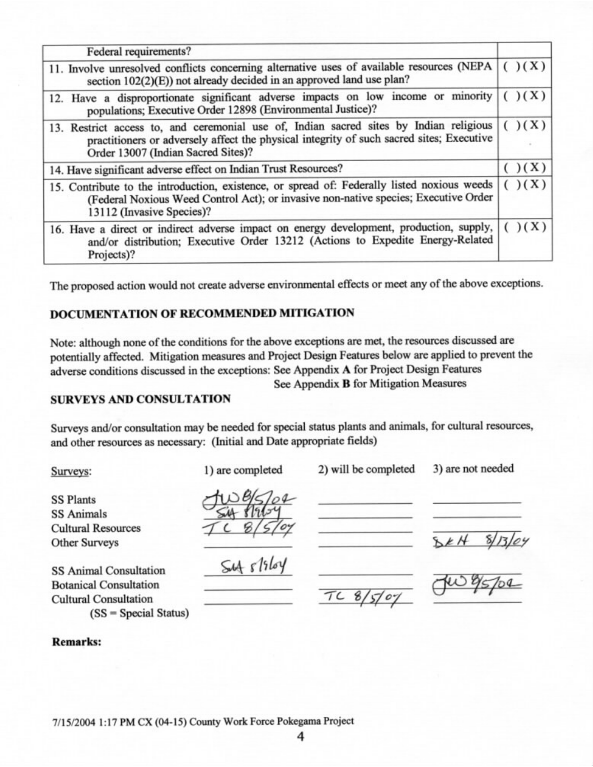| Federal requirements?                                                                                                                                                                                                    |           |
|--------------------------------------------------------------------------------------------------------------------------------------------------------------------------------------------------------------------------|-----------|
| 11. Involve unresolved conflicts concerning alternative uses of available resources (NEPA<br>section 102(2)(E)) not already decided in an approved land use plan?                                                        | ( ) ( X ) |
| 12. Have a disproportionate significant adverse impacts on low income or minority<br>populations; Executive Order 12898 (Environmental Justice)?                                                                         | )(X)      |
| 13. Restrict access to, and ceremonial use of, Indian sacred sites by Indian religious<br>practitioners or adversely affect the physical integrity of such sacred sites; Executive<br>Order 13007 (Indian Sacred Sites)? | ( ) ( X ) |
| 14. Have significant adverse effect on Indian Trust Resources?                                                                                                                                                           | ( ) ( X ) |
| 15. Contribute to the introduction, existence, or spread of: Federally listed noxious weeds<br>(Federal Noxious Weed Control Act); or invasive non-native species; Executive Order<br>13112 (Invasive Species)?          | ( ) ( X ) |
| 16. Have a direct or indirect adverse impact on energy development, production, supply,<br>and/or distribution; Executive Order 13212 (Actions to Expedite Energy-Related<br>Projects)?                                  | ( ) ( X ) |

The proposed action would not create adverse environmental effects or meet any of the above exceptions.

### DOCUMENTATION OF RECOMMENDED MITIGATION

Note: although none of the conditions for the above exceptions are met, the resources discussed are potentially affected. Mitigation measures and Project Design Features below are applied to prevent the adverse conditions discussed in the exceptions: See Appendix A for Project Design Features

See Appendix **B** for Mitigation Measures

## **SURVEYS AND CONSULTATION**

 $(SS = Special Status)$ 

Surveys and/or consultation may be needed for special status plants and animals, for cultural resources, and other resources as necessary: (Initial and Date appropriate fields)

| Surveys:                                                                                       | 1) are completed | 2) will be completed | 3) are not needed |  |
|------------------------------------------------------------------------------------------------|------------------|----------------------|-------------------|--|
| <b>SS Plants</b><br><b>SS Animals</b>                                                          |                  |                      |                   |  |
| <b>Cultural Resources</b><br><b>Other Surveys</b>                                              |                  |                      | 8/13/04           |  |
| <b>SS Animal Consultation</b><br><b>Botanical Consultation</b><br><b>Cultural Consultation</b> | $54 + 1964$      |                      |                   |  |

#### **Remarks:**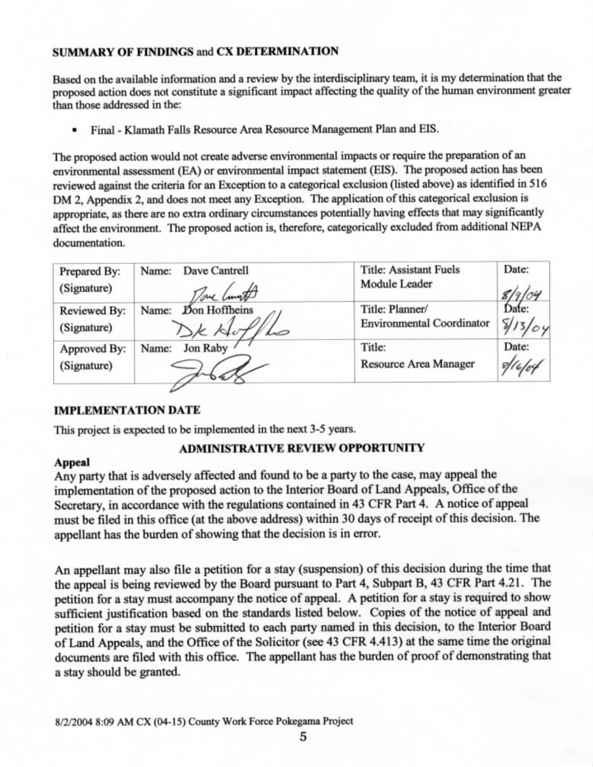### **SUMMARY OF FINDINGS and CX DETERMINATION**

Based on the available information and a review by the interdisciplinary team, it is my determination that the proposed action does not constitute a significant impact affecting the quality of the human environment greater than those addressed in the:

Final - Klamath Falls Resource Area Resource Management Plan and EIS. ٠

The proposed action would not create adverse environmental impacts or require the preparation of an environmental assessment (EA) or environmental impact statement (EIS). The proposed action has been reviewed against the criteria for an Exception to a categorical exclusion (listed above) as identified in 516 DM 2, Appendix 2, and does not meet any Exception. The application of this categorical exclusion is appropriate, as there are no extra ordinary circumstances potentially having effects that may significantly affect the environment. The proposed action is, therefore, categorically excluded from additional NEPA documentation.

| Prepared By:<br>(Signature) | Dave Cantrell<br>Name:<br>Tome Cunt | <b>Title: Assistant Fuels</b><br>Module Leader | Date: |
|-----------------------------|-------------------------------------|------------------------------------------------|-------|
| Reviewed By:                | Don Hoffheins                       | Title: Planner/                                | Date: |
| (Signature)                 | Name:                               | <b>Environmental Coordinator</b>               | 8/13/ |
| Approved By:                | <b>Jon Raby</b>                     | Title:                                         | Date: |
| (Signature)                 | Name:                               | Resource Area Manager                          |       |

## **IMPLEMENTATION DATE**

This project is expected to be implemented in the next 3-5 years.

# **ADMINISTRATIVE REVIEW OPPORTUNITY**

## **Appeal**

Any party that is adversely affected and found to be a party to the case, may appeal the implementation of the proposed action to the Interior Board of Land Appeals, Office of the Secretary, in accordance with the regulations contained in 43 CFR Part 4. A notice of appeal must be filed in this office (at the above address) within 30 days of receipt of this decision. The appellant has the burden of showing that the decision is in error.

An appellant may also file a petition for a stay (suspension) of this decision during the time that the appeal is being reviewed by the Board pursuant to Part 4, Subpart B, 43 CFR Part 4.21. The petition for a stay must accompany the notice of appeal. A petition for a stay is required to show sufficient justification based on the standards listed below. Copies of the notice of appeal and petition for a stay must be submitted to each party named in this decision, to the Interior Board of Land Appeals, and the Office of the Solicitor (see 43 CFR 4.413) at the same time the original documents are filed with this office. The appellant has the burden of proof of demonstrating that a stay should be granted.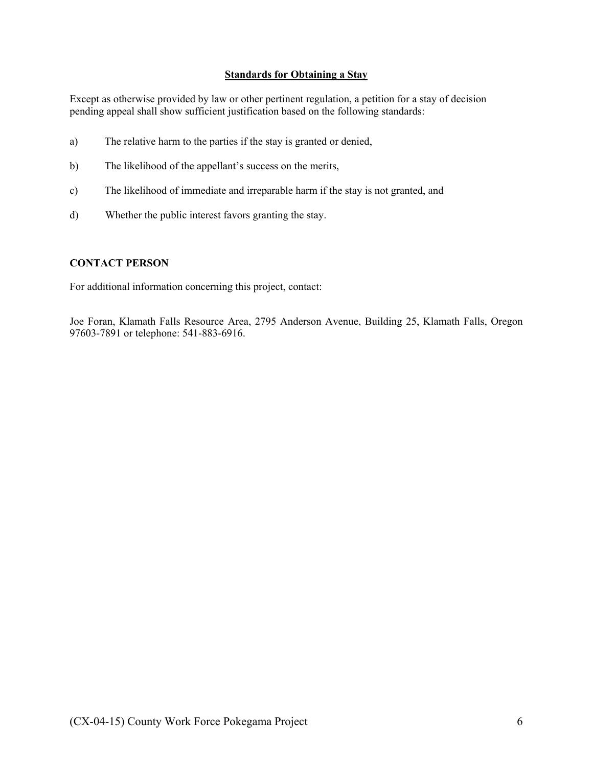#### **Standards for Obtaining a Stay**

Except as otherwise provided by law or other pertinent regulation, a petition for a stay of decision pending appeal shall show sufficient justification based on the following standards:

- a) The relative harm to the parties if the stay is granted or denied,
- b) The likelihood of the appellant's success on the merits,
- c) The likelihood of immediate and irreparable harm if the stay is not granted, and
- d) Whether the public interest favors granting the stay.

### **CONTACT PERSON**

For additional information concerning this project, contact:

Joe Foran, Klamath Falls Resource Area, 2795 Anderson Avenue, Building 25, Klamath Falls, Oregon 97603-7891 or telephone: 541-883-6916.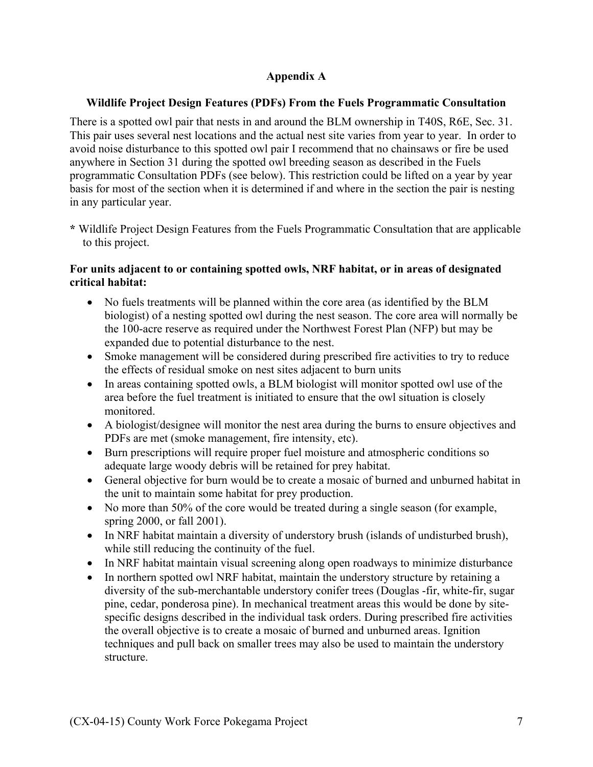## **Appendix A**

## **Wildlife Project Design Features (PDFs) From the Fuels Programmatic Consultation**

There is a spotted owl pair that nests in and around the BLM ownership in T40S, R6E, Sec. 31. This pair uses several nest locations and the actual nest site varies from year to year. In order to avoid noise disturbance to this spotted owl pair I recommend that no chainsaws or fire be used anywhere in Section 31 during the spotted owl breeding season as described in the Fuels programmatic Consultation PDFs (see below). This restriction could be lifted on a year by year basis for most of the section when it is determined if and where in the section the pair is nesting in any particular year.

**\*** Wildlife Project Design Features from the Fuels Programmatic Consultation that are applicable to this project.

## **For units adjacent to or containing spotted owls, NRF habitat, or in areas of designated critical habitat:**

- No fuels treatments will be planned within the core area (as identified by the BLM biologist) of a nesting spotted owl during the nest season. The core area will normally be the 100-acre reserve as required under the Northwest Forest Plan (NFP) but may be expanded due to potential disturbance to the nest.
- Smoke management will be considered during prescribed fire activities to try to reduce the effects of residual smoke on nest sites adjacent to burn units
- In areas containing spotted owls, a BLM biologist will monitor spotted owl use of the area before the fuel treatment is initiated to ensure that the owl situation is closely monitored.
- A biologist/designee will monitor the nest area during the burns to ensure objectives and PDFs are met (smoke management, fire intensity, etc).
- Burn prescriptions will require proper fuel moisture and atmospheric conditions so adequate large woody debris will be retained for prey habitat.
- General objective for burn would be to create a mosaic of burned and unburned habitat in the unit to maintain some habitat for prey production.
- No more than 50% of the core would be treated during a single season (for example, spring 2000, or fall 2001).
- In NRF habitat maintain a diversity of understory brush (islands of undisturbed brush), while still reducing the continuity of the fuel.
- In NRF habitat maintain visual screening along open roadways to minimize disturbance
- In northern spotted owl NRF habitat, maintain the understory structure by retaining a diversity of the sub-merchantable understory conifer trees (Douglas -fir, white-fir, sugar pine, cedar, ponderosa pine). In mechanical treatment areas this would be done by sitespecific designs described in the individual task orders. During prescribed fire activities the overall objective is to create a mosaic of burned and unburned areas. Ignition techniques and pull back on smaller trees may also be used to maintain the understory structure.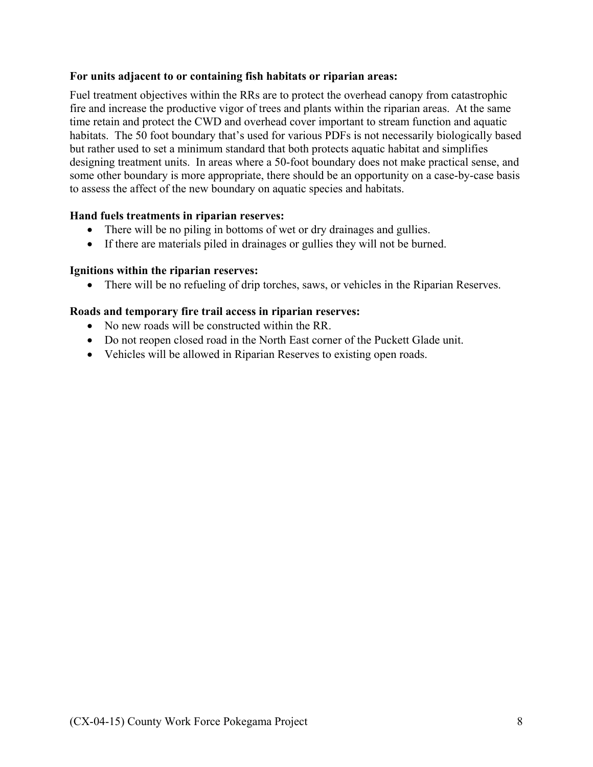### **For units adjacent to or containing fish habitats or riparian areas:**

Fuel treatment objectives within the RRs are to protect the overhead canopy from catastrophic fire and increase the productive vigor of trees and plants within the riparian areas. At the same time retain and protect the CWD and overhead cover important to stream function and aquatic habitats. The 50 foot boundary that's used for various PDFs is not necessarily biologically based but rather used to set a minimum standard that both protects aquatic habitat and simplifies designing treatment units. In areas where a 50-foot boundary does not make practical sense, and some other boundary is more appropriate, there should be an opportunity on a case-by-case basis to assess the affect of the new boundary on aquatic species and habitats.

### **Hand fuels treatments in riparian reserves:**

- There will be no piling in bottoms of wet or dry drainages and gullies.
- If there are materials piled in drainages or gullies they will not be burned.

### **Ignitions within the riparian reserves:**

• There will be no refueling of drip torches, saws, or vehicles in the Riparian Reserves.

### **Roads and temporary fire trail access in riparian reserves:**

- No new roads will be constructed within the RR.
- Do not reopen closed road in the North East corner of the Puckett Glade unit.
- Vehicles will be allowed in Riparian Reserves to existing open roads.